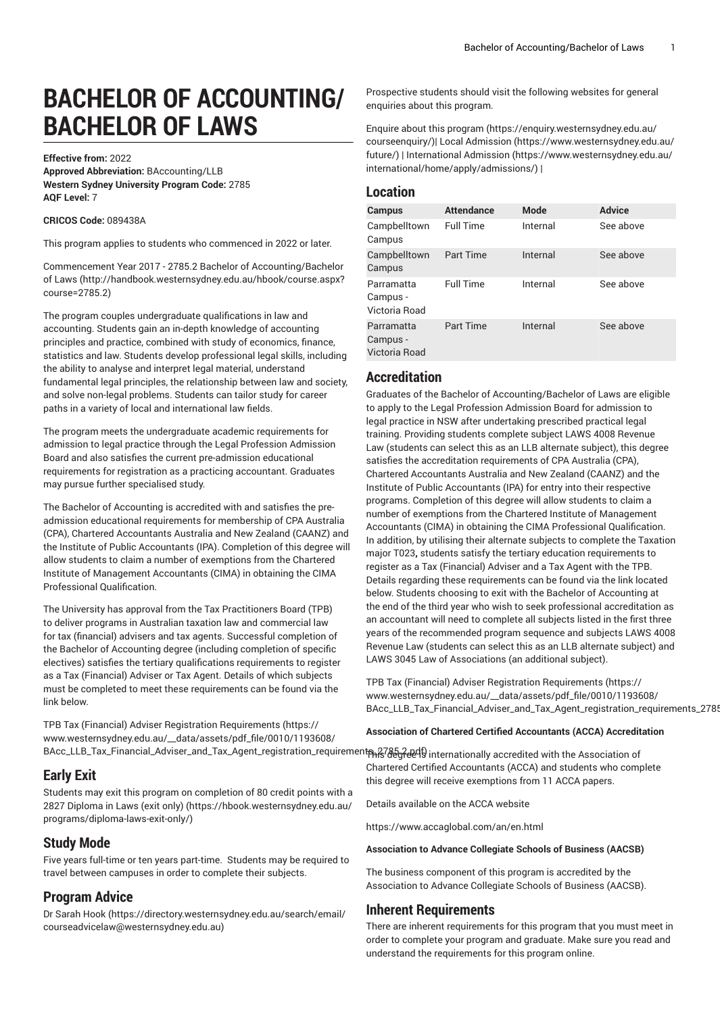# **BACHELOR OF ACCOUNTING/ BACHELOR OF LAWS**

**Effective from:** 2022

**Approved Abbreviation:** BAccounting/LLB **Western Sydney University Program Code:** 2785 **AQF Level:** 7

#### **CRICOS Code:** 089438A

This program applies to students who commenced in 2022 or later.

Commencement Year 2017 - 2785.2 Bachelor of [Accounting/Bachelor](http://handbook.westernsydney.edu.au/hbook/course.aspx?course=2785.2) [of Laws](http://handbook.westernsydney.edu.au/hbook/course.aspx?course=2785.2) ([http://handbook.westernsydney.edu.au/hbook/course.aspx?](http://handbook.westernsydney.edu.au/hbook/course.aspx?course=2785.2) [course=2785.2\)](http://handbook.westernsydney.edu.au/hbook/course.aspx?course=2785.2)

The program couples undergraduate qualifications in law and accounting. Students gain an in-depth knowledge of accounting principles and practice, combined with study of economics, finance, statistics and law. Students develop professional legal skills, including the ability to analyse and interpret legal material, understand fundamental legal principles, the relationship between law and society, and solve non-legal problems. Students can tailor study for career paths in a variety of local and international law fields.

The program meets the undergraduate academic requirements for admission to legal practice through the Legal Profession Admission Board and also satisfies the current pre-admission educational requirements for registration as a practicing accountant. Graduates may pursue further specialised study.

The Bachelor of Accounting is accredited with and satisfies the preadmission educational requirements for membership of CPA Australia (CPA), Chartered Accountants Australia and New Zealand (CAANZ) and the Institute of Public Accountants (IPA). Completion of this degree will allow students to claim a number of exemptions from the Chartered Institute of Management Accountants (CIMA) in obtaining the CIMA Professional Qualification.

The University has approval from the Tax Practitioners Board (TPB) to deliver programs in Australian taxation law and commercial law for tax (financial) advisers and tax agents. Successful completion of the Bachelor of Accounting degree (including completion of specific electives) satisfies the tertiary qualifications requirements to register as a Tax (Financial) Adviser or Tax Agent. Details of which subjects must be completed to meet these requirements can be found via the link below.

TPB Tax (Financial) Adviser Registration [Requirements \(https://](https://www.westernsydney.edu.au/__data/assets/pdf_file/0010/1193608/BAcc_LLB_Tax_Financial_Adviser_and_Tax_Agent_registration_requirements_2785.2.pdf) [www.westernsydney.edu.au/\\_\\_data/assets/pdf\\_file/0010/1193608/](https://www.westernsydney.edu.au/__data/assets/pdf_file/0010/1193608/BAcc_LLB_Tax_Financial_Adviser_and_Tax_Agent_registration_requirements_2785.2.pdf)

#### **Early Exit**

Students may exit this program on completion of 80 credit points with a [2827 Diploma in Laws \(exit only\) \(https://hbook.westernsydney.edu.au/](https://hbook.westernsydney.edu.au/programs/diploma-laws-exit-only/) [programs/diploma-laws-exit-only/\)](https://hbook.westernsydney.edu.au/programs/diploma-laws-exit-only/)

#### **Study Mode**

Five years full-time or ten years part-time. Students may be required to travel between campuses in order to complete their subjects.

#### **Program Advice**

[Dr Sarah Hook](https://directory.westernsydney.edu.au/search/email/courseadvicelaw@westernsydney.edu.au) ([https://directory.westernsydney.edu.au/search/email/](https://directory.westernsydney.edu.au/search/email/courseadvicelaw@westernsydney.edu.au) [courseadvicelaw@westernsydney.edu.au\)](https://directory.westernsydney.edu.au/search/email/courseadvicelaw@westernsydney.edu.au)

Prospective students should visit the following websites for general enquiries about this program.

Enquire about this [program](https://enquiry.westernsydney.edu.au/courseenquiry/) ([https://enquiry.westernsydney.edu.au/](https://enquiry.westernsydney.edu.au/courseenquiry/) [courseenquiry/\)](https://enquiry.westernsydney.edu.au/courseenquiry/)| [Local Admission](https://www.westernsydney.edu.au/future/) ([https://www.westernsydney.edu.au/](https://www.westernsydney.edu.au/future/) [future/](https://www.westernsydney.edu.au/future/)) | [International Admission \(https://www.westernsydney.edu.au/](https://www.westernsydney.edu.au/international/home/apply/admissions/) [international/home/apply/admissions/](https://www.westernsydney.edu.au/international/home/apply/admissions/)) |

### **Location**

| Campus                                  | <b>Attendance</b> | <b>Mode</b> | <b>Advice</b> |
|-----------------------------------------|-------------------|-------------|---------------|
| Campbelltown<br>Campus                  | <b>Full Time</b>  | Internal    | See above     |
| Campbelltown<br>Campus                  | Part Time         | Internal    | See above     |
| Parramatta<br>Campus -<br>Victoria Road | <b>Full Time</b>  | Internal    | See above     |
| Parramatta<br>Campus -<br>Victoria Road | Part Time         | Internal    | See above     |

#### **Accreditation**

Graduates of the Bachelor of Accounting/Bachelor of Laws are eligible to apply to the Legal Profession Admission Board for admission to legal practice in NSW after undertaking prescribed practical legal training. Providing students complete subject LAWS 4008 Revenue Law (students can select this as an LLB alternate subject), this degree satisfies the accreditation requirements of CPA Australia (CPA), Chartered Accountants Australia and New Zealand (CAANZ) and the Institute of Public Accountants (IPA) for entry into their respective programs. Completion of this degree will allow students to claim a number of exemptions from the Chartered Institute of Management Accountants (CIMA) in obtaining the CIMA Professional Qualification. In addition, by utilising their alternate subjects to complete the Taxation major T023**,** students satisfy the tertiary education requirements to register as a Tax (Financial) Adviser and a Tax Agent with the TPB. Details regarding these requirements can be found via the link located below. Students choosing to exit with the Bachelor of Accounting at the end of the third year who wish to seek professional accreditation as an accountant will need to complete all subjects listed in the first three years of the recommended program sequence and subjects LAWS 4008 Revenue Law (students can select this as an LLB alternate subject) and LAWS 3045 Law of Associations (an additional subject).

TPB Tax (Financial) Adviser Registration [Requirements](https://www.westernsydney.edu.au/__data/assets/pdf_file/0010/1193608/BAcc_LLB_Tax_Financial_Adviser_and_Tax_Agent_registration_requirements_2785.2.pdf) ([https://](https://www.westernsydney.edu.au/__data/assets/pdf_file/0010/1193608/BAcc_LLB_Tax_Financial_Adviser_and_Tax_Agent_registration_requirements_2785.2.pdf) [www.westernsydney.edu.au/\\_\\_data/assets/pdf\\_file/0010/1193608/](https://www.westernsydney.edu.au/__data/assets/pdf_file/0010/1193608/BAcc_LLB_Tax_Financial_Adviser_and_Tax_Agent_registration_requirements_2785.2.pdf) BAcc\_LLB\_Tax\_Financial\_Adviser\_and\_Tax\_Agent\_registration\_requirements\_2785.

#### **Association of Chartered Certified Accountants (ACCA) Accreditation**

BAcc\_LLB\_Tax\_Financial\_Adviser\_and\_Tax\_Agent\_registration\_requirementஷ?@Aey?@499 internationally accredited with the Association of Chartered Certified Accountants (ACCA) and students who complete this degree will receive exemptions from 11 ACCA papers.

Details available on the ACCA website

<https://www.accaglobal.com/an/en.html>

#### **Association to Advance Collegiate Schools of Business (AACSB)**

The business component of this program is accredited by the Association to Advance Collegiate Schools of Business (AACSB).

#### **Inherent Requirements**

There are inherent requirements for this program that you must meet in order to complete your program and graduate. Make sure you read and understand the requirements for this program online.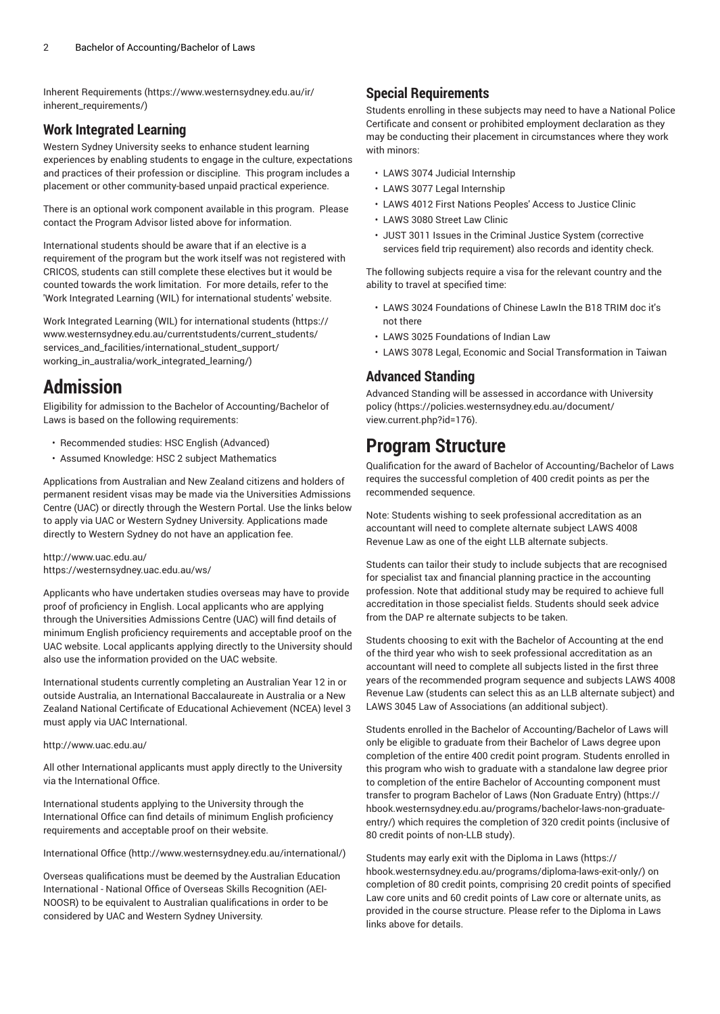Inherent [Requirements](https://www.westernsydney.edu.au/ir/inherent_requirements/) ([https://www.westernsydney.edu.au/ir/](https://www.westernsydney.edu.au/ir/inherent_requirements/) [inherent\\_requirements/](https://www.westernsydney.edu.au/ir/inherent_requirements/))

## **Work Integrated Learning**

Western Sydney University seeks to enhance student learning experiences by enabling students to engage in the culture, expectations and practices of their profession or discipline. This program includes a placement or other community-based unpaid practical experience.

There is an optional work component available in this program. Please contact the Program Advisor listed above for information.

International students should be aware that if an elective is a requirement of the program but the work itself was not registered with CRICOS, students can still complete these electives but it would be counted towards the work limitation. For more details, refer to the 'Work Integrated Learning (WIL) for international students' website.

Work Integrated Learning (WIL) for [international](https://www.westernsydney.edu.au/currentstudents/current_students/services_and_facilities/international_student_support/working_in_australia/work_integrated_learning/) students [\(https://](https://www.westernsydney.edu.au/currentstudents/current_students/services_and_facilities/international_student_support/working_in_australia/work_integrated_learning/) [www.westernsydney.edu.au/currentstudents/current\\_students/](https://www.westernsydney.edu.au/currentstudents/current_students/services_and_facilities/international_student_support/working_in_australia/work_integrated_learning/) [services\\_and\\_facilities/international\\_student\\_support/](https://www.westernsydney.edu.au/currentstudents/current_students/services_and_facilities/international_student_support/working_in_australia/work_integrated_learning/) [working\\_in\\_australia/work\\_integrated\\_learning/\)](https://www.westernsydney.edu.au/currentstudents/current_students/services_and_facilities/international_student_support/working_in_australia/work_integrated_learning/)

## **Admission**

Eligibility for admission to the Bachelor of Accounting/Bachelor of Laws is based on the following requirements:

- Recommended studies: HSC English (Advanced)
- Assumed Knowledge: HSC 2 subject Mathematics

Applications from Australian and New Zealand citizens and holders of permanent resident visas may be made via the Universities Admissions Centre (UAC) or directly through the Western Portal. Use the links below to apply via UAC or Western Sydney University. Applications made directly to Western Sydney do not have an application fee.

#### <http://www.uac.edu.au/> <https://westernsydney.uac.edu.au/ws/>

Applicants who have undertaken studies overseas may have to provide proof of proficiency in English. Local applicants who are applying through the Universities Admissions Centre (UAC) will find details of minimum English proficiency requirements and acceptable proof on the UAC website. Local applicants applying directly to the University should also use the information provided on the UAC website.

International students currently completing an Australian Year 12 in or outside Australia, an International Baccalaureate in Australia or a New Zealand National Certificate of Educational Achievement (NCEA) level 3 must apply via UAC International.

#### <http://www.uac.edu.au/>

All other International applicants must apply directly to the University via the International Office.

International students applying to the University through the International Office can find details of minimum English proficiency requirements and acceptable proof on their website.

[International Office \(http://www.westernsydney.edu.au/international/\)](http://www.westernsydney.edu.au/international/)

Overseas qualifications must be deemed by the Australian Education International - National Office of Overseas Skills Recognition (AEI-NOOSR) to be equivalent to Australian qualifications in order to be considered by UAC and Western Sydney University.

## **Special Requirements**

Students enrolling in these subjects may need to have a National Police Certificate and consent or prohibited employment declaration as they may be conducting their placement in circumstances where they work with minors:

- LAWS 3074 Judicial Internship
- LAWS 3077 Legal Internship
- LAWS 4012 First Nations Peoples' Access to Justice Clinic
- LAWS 3080 Street Law Clinic
- JUST 3011 Issues in the Criminal Justice System (corrective services field trip requirement) also records and identity check.

The following subjects require a visa for the relevant country and the ability to travel at specified time:

- LAWS 3024 Foundations of Chinese LawIn the B18 TRIM doc it's not there
- LAWS 3025 Foundations of Indian Law
- LAWS 3078 Legal, Economic and Social Transformation in Taiwan

#### **Advanced Standing**

Advanced Standing will be assessed in accordance with [University](https://policies.westernsydney.edu.au/document/view.current.php?id=176) [policy \(https://policies.westernsydney.edu.au/document/](https://policies.westernsydney.edu.au/document/view.current.php?id=176) [view.current.php?id=176\)](https://policies.westernsydney.edu.au/document/view.current.php?id=176).

## **Program Structure**

Qualification for the award of Bachelor of Accounting/Bachelor of Laws requires the successful completion of 400 credit points as per the recommended sequence.

Note: Students wishing to seek professional accreditation as an accountant will need to complete alternate subject LAWS 4008 Revenue Law as one of the eight LLB alternate subjects.

Students can tailor their study to include subjects that are recognised for specialist tax and financial planning practice in the accounting profession. Note that additional study may be required to achieve full accreditation in those specialist fields. Students should seek advice from the DAP re alternate subjects to be taken.

Students choosing to exit with the Bachelor of Accounting at the end of the third year who wish to seek professional accreditation as an accountant will need to complete all subjects listed in the first three years of the recommended program sequence and subjects LAWS 4008 Revenue Law (students can select this as an LLB alternate subject) and LAWS 3045 Law of Associations (an additional subject).

Students enrolled in the Bachelor of Accounting/Bachelor of Laws will only be eligible to graduate from their Bachelor of Laws degree upon completion of the entire 400 credit point program. Students enrolled in this program who wish to graduate with a standalone law degree prior to completion of the entire Bachelor of Accounting component must transfer to program Bachelor of Laws (Non [Graduate](https://hbook.westernsydney.edu.au/programs/bachelor-laws-non-graduate-entry/) Entry) ([https://](https://hbook.westernsydney.edu.au/programs/bachelor-laws-non-graduate-entry/) [hbook.westernsydney.edu.au/programs/bachelor-laws-non-graduate](https://hbook.westernsydney.edu.au/programs/bachelor-laws-non-graduate-entry/)[entry/\)](https://hbook.westernsydney.edu.au/programs/bachelor-laws-non-graduate-entry/) which requires the completion of 320 credit points (inclusive of 80 credit points of non-LLB study).

Students may early exit with the [Diploma in Laws](https://hbook.westernsydney.edu.au/programs/diploma-laws-exit-only/) [\(https://](https://hbook.westernsydney.edu.au/programs/diploma-laws-exit-only/) [hbook.westernsydney.edu.au/programs/diploma-laws-exit-only/\)](https://hbook.westernsydney.edu.au/programs/diploma-laws-exit-only/) on completion of 80 credit points, comprising 20 credit points of specified Law core units and 60 credit points of Law core or alternate units, as provided in the course structure. Please refer to the Diploma in Laws links above for details.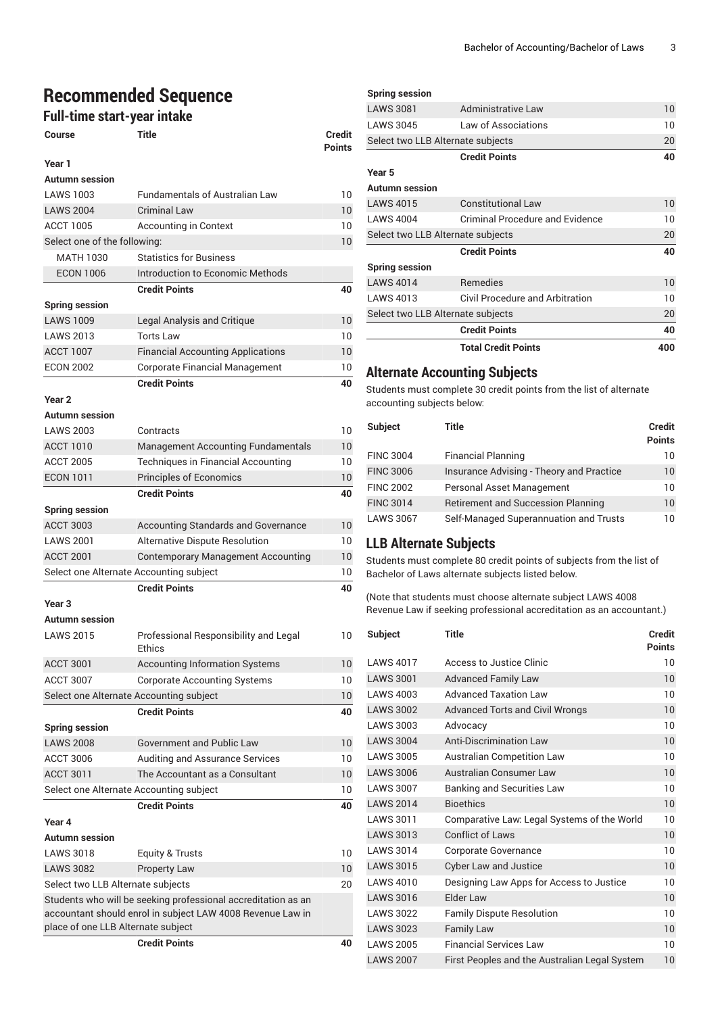# **Recommended Sequence**

### **Full-time start-year intake**

| Full-time start-year intake        |                                                                                                                             |                                |  |  |
|------------------------------------|-----------------------------------------------------------------------------------------------------------------------------|--------------------------------|--|--|
| <b>Course</b>                      | Title                                                                                                                       | <b>Credit</b><br><b>Points</b> |  |  |
| Year 1                             |                                                                                                                             |                                |  |  |
| Autumn session                     |                                                                                                                             |                                |  |  |
| LAWS 1003                          | Fundamentals of Australian Law                                                                                              | 10                             |  |  |
| <b>LAWS 2004</b>                   | <b>Criminal Law</b>                                                                                                         | 10                             |  |  |
| <b>ACCT 1005</b>                   | <b>Accounting in Context</b>                                                                                                | 10                             |  |  |
| Select one of the following:       |                                                                                                                             | 10                             |  |  |
| <b>MATH 1030</b>                   | <b>Statistics for Business</b>                                                                                              |                                |  |  |
| <b>ECON 1006</b>                   | Introduction to Economic Methods                                                                                            |                                |  |  |
|                                    | <b>Credit Points</b>                                                                                                        | 40                             |  |  |
| <b>Spring session</b>              |                                                                                                                             |                                |  |  |
| <b>LAWS 1009</b>                   | Legal Analysis and Critique                                                                                                 | 10                             |  |  |
| <b>LAWS 2013</b>                   | <b>Torts Law</b>                                                                                                            | 10                             |  |  |
| <b>ACCT 1007</b>                   | <b>Financial Accounting Applications</b>                                                                                    | 10                             |  |  |
| <b>ECON 2002</b>                   | <b>Corporate Financial Management</b>                                                                                       | 10                             |  |  |
|                                    | <b>Credit Points</b>                                                                                                        | 40                             |  |  |
| Year <sub>2</sub>                  |                                                                                                                             |                                |  |  |
| <b>Autumn</b> session              |                                                                                                                             |                                |  |  |
| <b>LAWS 2003</b>                   | Contracts                                                                                                                   | 10                             |  |  |
| <b>ACCT 1010</b>                   | <b>Management Accounting Fundamentals</b>                                                                                   | 10                             |  |  |
| <b>ACCT 2005</b>                   | Techniques in Financial Accounting                                                                                          | 10                             |  |  |
| <b>ECON 1011</b>                   | <b>Principles of Economics</b>                                                                                              | 10                             |  |  |
|                                    | <b>Credit Points</b>                                                                                                        | 40                             |  |  |
| <b>Spring session</b>              |                                                                                                                             |                                |  |  |
| <b>ACCT 3003</b>                   | Accounting Standards and Governance                                                                                         | 10                             |  |  |
| <b>LAWS 2001</b>                   | Alternative Dispute Resolution                                                                                              | 10                             |  |  |
| <b>ACCT 2001</b>                   | <b>Contemporary Management Accounting</b>                                                                                   | 10                             |  |  |
|                                    | Select one Alternate Accounting subject                                                                                     | 10                             |  |  |
|                                    | <b>Credit Points</b>                                                                                                        | 40                             |  |  |
| Year <sub>3</sub>                  |                                                                                                                             |                                |  |  |
| Autumn session                     |                                                                                                                             |                                |  |  |
| <b>LAWS 2015</b>                   | Professional Responsibility and Legal<br>Ethics                                                                             | 10                             |  |  |
| <b>ACCT 3001</b>                   | <b>Accounting Information Systems</b>                                                                                       | 10                             |  |  |
| <b>ACCT 3007</b>                   | <b>Corporate Accounting Systems</b>                                                                                         | 10                             |  |  |
|                                    | Select one Alternate Accounting subject                                                                                     | 10                             |  |  |
|                                    | <b>Credit Points</b>                                                                                                        | 40                             |  |  |
| <b>Spring session</b>              |                                                                                                                             |                                |  |  |
| <b>LAWS 2008</b>                   | <b>Government and Public Law</b>                                                                                            | 10                             |  |  |
| <b>ACCT 3006</b>                   | <b>Auditing and Assurance Services</b>                                                                                      | 10                             |  |  |
| <b>ACCT 3011</b>                   | The Accountant as a Consultant                                                                                              | 10                             |  |  |
|                                    | Select one Alternate Accounting subject                                                                                     | 10                             |  |  |
|                                    | <b>Credit Points</b>                                                                                                        | 40                             |  |  |
| Year 4                             |                                                                                                                             |                                |  |  |
| <b>Autumn</b> session              |                                                                                                                             |                                |  |  |
| <b>LAWS 3018</b>                   |                                                                                                                             |                                |  |  |
|                                    | Equity & Trusts                                                                                                             | 10                             |  |  |
| <b>LAWS 3082</b>                   | <b>Property Law</b>                                                                                                         | 10                             |  |  |
| Select two LLB Alternate subjects  |                                                                                                                             | 20                             |  |  |
| place of one LLB Alternate subject | Students who will be seeking professional accreditation as an<br>accountant should enrol in subject LAW 4008 Revenue Law in |                                |  |  |

**Credit Points 40**

## **Spring session** LAWS 3081 Administrative Law 10 LAWS 3045 Law of Associations 10 Select two LLB Alternate subjects 20 **Credit Points 40 Year 5 Autumn session** LAWS 4015 Constitutional Law 10 LAWS 4004 Criminal Procedure and Evidence 10 Select two LLB Alternate subjects 20 **Credit Points 40 Spring session** LAWS 4014 Remedies 10 LAWS 4013 Civil Procedure and Arbitration 10 Select two LLB Alternate subjects 20 **Credit Points 40 Total Credit Points 400**

## **Alternate Accounting Subjects**

Students must complete 30 credit points from the list of alternate accounting subjects below:

| <b>Subject</b>   | Title                                     | <b>Credit</b><br><b>Points</b> |
|------------------|-------------------------------------------|--------------------------------|
| <b>FINC 3004</b> | <b>Financial Planning</b>                 | 10                             |
| <b>FINC 3006</b> | Insurance Advising - Theory and Practice  | 10                             |
| <b>FINC 2002</b> | Personal Asset Management                 | 10                             |
| <b>FINC 3014</b> | <b>Retirement and Succession Planning</b> | 10                             |
| <b>LAWS 3067</b> | Self-Managed Superannuation and Trusts    | 10                             |

## **LLB Alternate Subjects**

Students must complete 80 credit points of subjects from the list of Bachelor of Laws alternate subjects listed below.

(Note that students must choose alternate subject LAWS 4008 Revenue Law if seeking professional accreditation as an accountant.)

| <b>Subject</b>   | <b>Title</b>                                  | <b>Credit</b><br><b>Points</b> |
|------------------|-----------------------------------------------|--------------------------------|
| <b>LAWS 4017</b> | Access to Justice Clinic                      | 10                             |
| <b>LAWS 3001</b> | <b>Advanced Family Law</b>                    | 10                             |
| <b>LAWS 4003</b> | Advanced Taxation Law                         | 10                             |
| <b>LAWS 3002</b> | <b>Advanced Torts and Civil Wrongs</b>        | 10                             |
| <b>LAWS 3003</b> | Advocacy                                      | 10                             |
| <b>LAWS 3004</b> | <b>Anti-Discrimination Law</b>                | 10                             |
| <b>LAWS 3005</b> | <b>Australian Competition Law</b>             | 10                             |
| <b>LAWS 3006</b> | Australian Consumer Law                       | 10                             |
| <b>LAWS 3007</b> | <b>Banking and Securities Law</b>             | 10                             |
| <b>LAWS 2014</b> | <b>Bioethics</b>                              | 10                             |
| <b>LAWS 3011</b> | Comparative Law: Legal Systems of the World   | 10                             |
| <b>LAWS 3013</b> | <b>Conflict of Laws</b>                       | 10                             |
| <b>LAWS 3014</b> | <b>Corporate Governance</b>                   | 10                             |
| <b>LAWS 3015</b> | <b>Cyber Law and Justice</b>                  | 10                             |
| <b>LAWS 4010</b> | Designing Law Apps for Access to Justice      | 10                             |
| <b>LAWS 3016</b> | Elder Law                                     | 10                             |
| <b>LAWS 3022</b> | <b>Family Dispute Resolution</b>              | 10                             |
| <b>LAWS 3023</b> | <b>Family Law</b>                             | 10                             |
| <b>LAWS 2005</b> | <b>Financial Services Law</b>                 | 10                             |
| <b>LAWS 2007</b> | First Peoples and the Australian Legal System | 10                             |